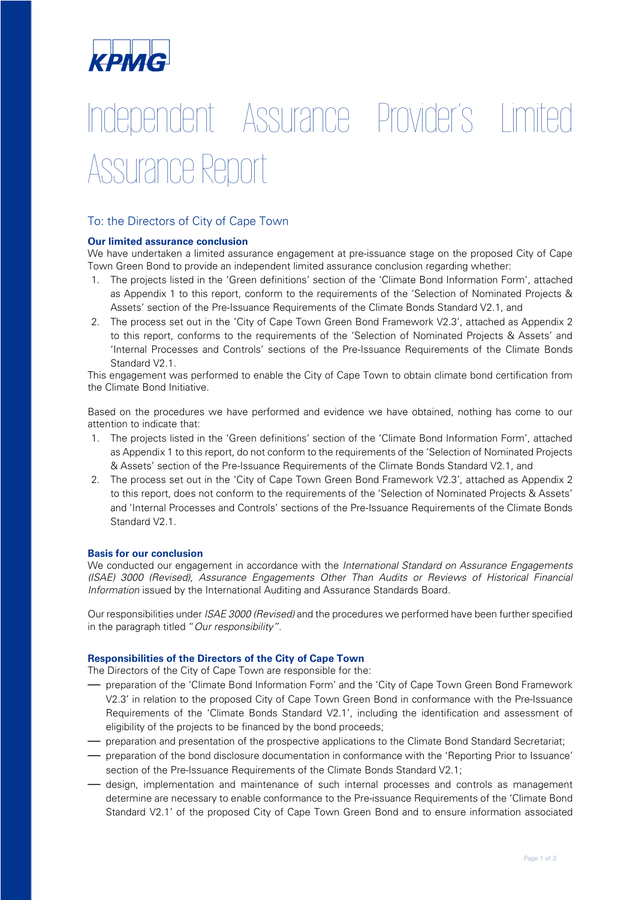

# Independent Assurance Provider's Limited Assurance Report

# To: the Directors of City of Cape Town

#### **Our limited assurance conclusion**

We have undertaken a limited assurance engagement at pre-issuance stage on the proposed City of Cape Town Green Bond to provide an independent limited assurance conclusion regarding whether:

- 1. The projects listed in the 'Green definitions' section of the 'Climate Bond Information Form', attached as Appendix 1 to this report, conform to the requirements of the 'Selection of Nominated Projects & Assets' section of the Pre-Issuance Requirements of the Climate Bonds Standard V2.1, and
- 2. The process set out in the 'City of Cape Town Green Bond Framework V2.3', attached as Appendix 2 to this report, conforms to the requirements of the 'Selection of Nominated Projects & Assets' and 'Internal Processes and Controls' sections of the Pre-Issuance Requirements of the Climate Bonds Standard V2.1.

This engagement was performed to enable the City of Cape Town to obtain climate bond certification from the Climate Bond Initiative.

Based on the procedures we have performed and evidence we have obtained, nothing has come to our attention to indicate that:

- 1. The projects listed in the 'Green definitions' section of the 'Climate Bond Information Form', attached as Appendix 1 to this report, do not conform to the requirements of the 'Selection of Nominated Projects & Assets' section of the Pre-Issuance Requirements of the Climate Bonds Standard V2.1, and
- 2. The process set out in the 'City of Cape Town Green Bond Framework V2.3', attached as Appendix 2 to this report, does not conform to the requirements of the 'Selection of Nominated Projects & Assets' and 'Internal Processes and Controls' sections of the Pre-Issuance Requirements of the Climate Bonds Standard V2.1.

# **Basis for our conclusion**

We conducted our engagement in accordance with the *International Standard on Assurance Engagements (ISAE) 3000 (Revised), Assurance Engagements Other Than Audits or Reviews of Historical Financial Information* issued by the International Auditing and Assurance Standards Board.

Our responsibilities under *ISAE 3000 (Revised)* and the procedures we performed have been further specified in the paragraph titled "*Our responsibility"*.

# **Responsibilities of the Directors of the City of Cape Town**

The Directors of the City of Cape Town are responsible for the:

- preparation of the 'Climate Bond Information Form' and the 'City of Cape Town Green Bond Framework V2.3' in relation to the proposed City of Cape Town Green Bond in conformance with the Pre-Issuance Requirements of the 'Climate Bonds Standard V2.1', including the identification and assessment of eligibility of the projects to be financed by the bond proceeds;
- preparation and presentation of the prospective applications to the Climate Bond Standard Secretariat;
- preparation of the bond disclosure documentation in conformance with the 'Reporting Prior to Issuance' section of the Pre-Issuance Requirements of the Climate Bonds Standard V2.1;
- design, implementation and maintenance of such internal processes and controls as management determine are necessary to enable conformance to the Pre-issuance Requirements of the 'Climate Bond Standard V2.1' of the proposed City of Cape Town Green Bond and to ensure information associated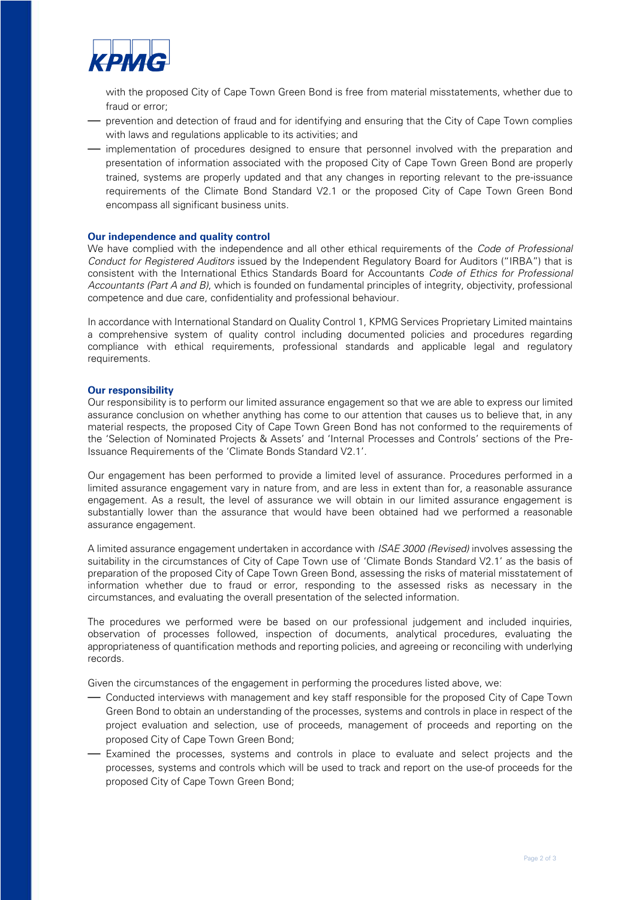

with the proposed City of Cape Town Green Bond is free from material misstatements, whether due to fraud or error;

- prevention and detection of fraud and for identifying and ensuring that the City of Cape Town complies with laws and regulations applicable to its activities; and
- implementation of procedures designed to ensure that personnel involved with the preparation and presentation of information associated with the proposed City of Cape Town Green Bond are properly trained, systems are properly updated and that any changes in reporting relevant to the pre-issuance requirements of the Climate Bond Standard V2.1 or the proposed City of Cape Town Green Bond encompass all significant business units.

#### **Our independence and quality control**

We have complied with the independence and all other ethical requirements of the *Code of Professional Conduct for Registered Auditors* issued by the Independent Regulatory Board for Auditors ("IRBA") that is consistent with the International Ethics Standards Board for Accountants *Code of Ethics for Professional Accountants (Part A and B)*, which is founded on fundamental principles of integrity, objectivity, professional competence and due care, confidentiality and professional behaviour.

In accordance with International Standard on Quality Control 1, KPMG Services Proprietary Limited maintains a comprehensive system of quality control including documented policies and procedures regarding compliance with ethical requirements, professional standards and applicable legal and regulatory requirements.

#### **Our responsibility**

Our responsibility is to perform our limited assurance engagement so that we are able to express our limited assurance conclusion on whether anything has come to our attention that causes us to believe that, in any material respects, the proposed City of Cape Town Green Bond has not conformed to the requirements of the 'Selection of Nominated Projects & Assets' and 'Internal Processes and Controls' sections of the Pre-Issuance Requirements of the 'Climate Bonds Standard V2.1'.

Our engagement has been performed to provide a limited level of assurance. Procedures performed in a limited assurance engagement vary in nature from, and are less in extent than for, a reasonable assurance engagement. As a result, the level of assurance we will obtain in our limited assurance engagement is substantially lower than the assurance that would have been obtained had we performed a reasonable assurance engagement.

A limited assurance engagement undertaken in accordance with *ISAE 3000 (Revised)* involves assessing the suitability in the circumstances of City of Cape Town use of 'Climate Bonds Standard V2.1' as the basis of preparation of the proposed City of Cape Town Green Bond, assessing the risks of material misstatement of information whether due to fraud or error, responding to the assessed risks as necessary in the circumstances, and evaluating the overall presentation of the selected information.

The procedures we performed were be based on our professional judgement and included inquiries, observation of processes followed, inspection of documents, analytical procedures, evaluating the appropriateness of quantification methods and reporting policies, and agreeing or reconciling with underlying records.

Given the circumstances of the engagement in performing the procedures listed above, we:

- Conducted interviews with management and key staff responsible for the proposed City of Cape Town Green Bond to obtain an understanding of the processes, systems and controls in place in respect of the project evaluation and selection, use of proceeds, management of proceeds and reporting on the proposed City of Cape Town Green Bond;
- Examined the processes, systems and controls in place to evaluate and select projects and the processes, systems and controls which will be used to track and report on the use-of proceeds for the proposed City of Cape Town Green Bond;